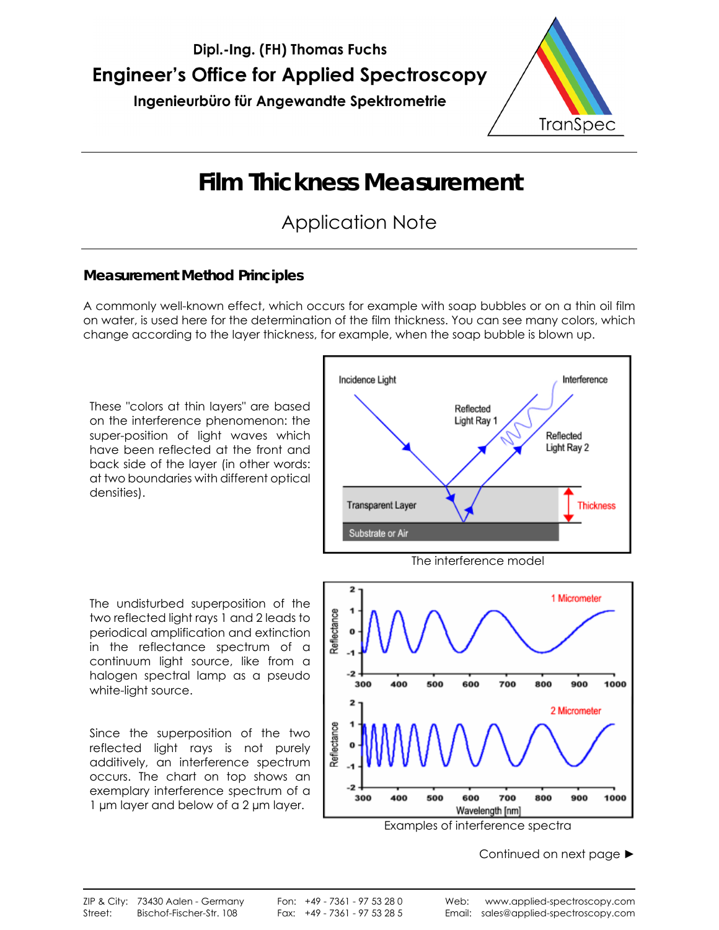

# **Film Thickness Measurement**

## Application Note

#### **Measurement Method Principles**

A commonly well-known effect, which occurs for example with soap bubbles or on a thin oil film on water, is used here for the determination of the film thickness. You can see many colors, which change according to the layer thickness, for example, when the soap bubble is blown up.

These "colors at thin layers" are based on the interference phenomenon: the super-position of light waves which have been reflected at the front and back side of the layer (in other words: at two boundaries with different optical densities).

The undisturbed superposition of the two reflected light rays 1 and 2 leads to periodical amplification and extinction in the reflectance spectrum of a continuum light source, like from a halogen spectral lamp as a pseudo white-light source.

Since the superposition of the two reflected light rays is not purely additively, an interference spectrum occurs. The chart on top shows an exemplary interference spectrum of a 1 µm layer and below of a 2 µm layer.



Examples of interference spectra

Wavelength [nm]

600

600

700

700

800

900

2 Micrometer

900

1000

1000

500

500

400

400

300

300

 $\overline{2}$ 

Reflectance

800

Continued on next page ►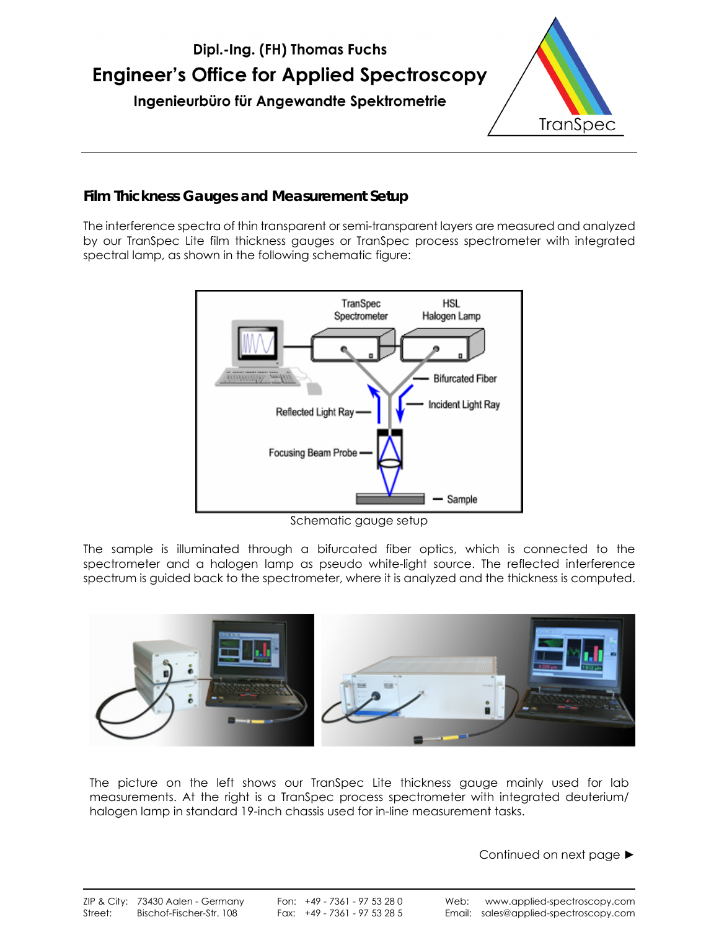

#### **Film Thickness Gauges and Measurement Setup**

The interference spectra of thin transparent or semi-transparent layers are measured and analyzed by our TranSpec Lite film thickness gauges or TranSpec process spectrometer with integrated spectral lamp, as shown in the following schematic figure:



Schematic gauge setup

The sample is illuminated through a bifurcated fiber optics, which is connected to the spectrometer and a halogen lamp as pseudo white-light source. The reflected interference spectrum is guided back to the spectrometer, where it is analyzed and the thickness is computed.



The picture on the left shows our TranSpec Lite thickness gauge mainly used for lab measurements. At the right is a TranSpec process spectrometer with integrated deuterium/ halogen lamp in standard 19-inch chassis used for in-line measurement tasks.

Continued on next page ►